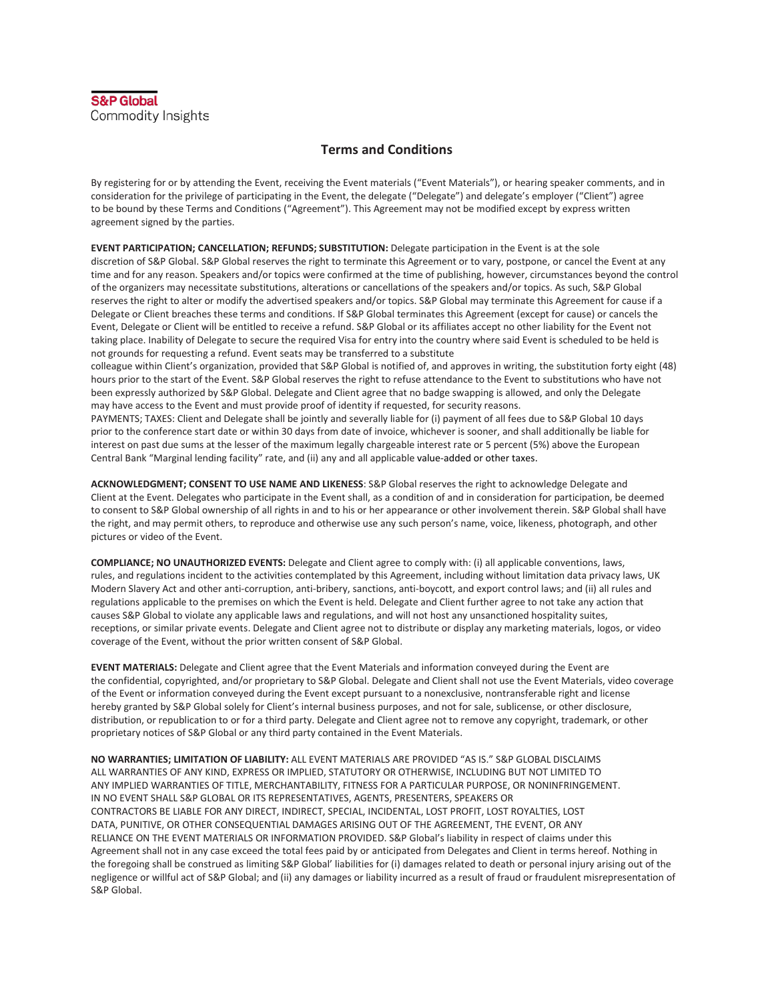## **Terms and Conditions**

By registering for or by attending the Event, receiving the Event materials ("Event Materials"), or hearing speaker comments, and in consideration for the privilege of participating in the Event, the delegate ("Delegate") and delegate's employer ("Client") agree to be bound by these Terms and Conditions ("Agreement"). This Agreement may not be modified except by express written agreement signed by the parties.

**EVENT PARTICIPATION; CANCELLATION; REFUNDS; SUBSTITUTION:** Delegate participation in the Event is at the sole discretion of S&P Global. S&P Global reserves the right to terminate this Agreement or to vary, postpone, or cancel the Event at any time and for any reason. Speakers and/or topics were confirmed at the time of publishing, however, circumstances beyond the control of the organizers may necessitate substitutions, alterations or cancellations of the speakers and/or topics. As such, S&P Global reserves the right to alter or modify the advertised speakers and/or topics. S&P Global may terminate this Agreement for cause if a Delegate or Client breaches these terms and conditions. If S&P Global terminates this Agreement (except for cause) or cancels the Event, Delegate or Client will be entitled to receive a refund. S&P Global or its affiliates accept no other liability for the Event not taking place. Inability of Delegate to secure the required Visa for entry into the country where said Event is scheduled to be held is not grounds for requesting a refund. Event seats may be transferred to a substitute

colleague within Client's organization, provided that S&P Global is notified of, and approves in writing, the substitution forty eight (48) hours prior to the start of the Event. S&P Global reserves the right to refuse attendance to the Event to substitutions who have not been expressly authorized by S&P Global. Delegate and Client agree that no badge swapping is allowed, and only the Delegate may have access to the Event and must provide proof of identity if requested, for security reasons.

PAYMENTS; TAXES: Client and Delegate shall be jointly and severally liable for (i) payment of all fees due to S&P Global 10 days prior to the conference start date or within 30 days from date of invoice, whichever is sooner, and shall additionally be liable for interest on past due sums at the lesser of the maximum legally chargeable interest rate or 5 percent (5%) above the European Central Bank "Marginal lending facility" rate, and (ii) any and all applicable value-added or other taxes.

**ACKNOWLEDGMENT; CONSENT TO USE NAME AND LIKENESS**: S&P Global reserves the right to acknowledge Delegate and Client at the Event. Delegates who participate in the Event shall, as a condition of and in consideration for participation, be deemed to consent to S&P Global ownership of all rights in and to his or her appearance or other involvement therein. S&P Global shall have the right, and may permit others, to reproduce and otherwise use any such person's name, voice, likeness, photograph, and other pictures or video of the Event.

**COMPLIANCE; NO UNAUTHORIZED EVENTS:** Delegate and Client agree to comply with: (i) all applicable conventions, laws, rules, and regulations incident to the activities contemplated by this Agreement, including without limitation data privacy laws, UK Modern Slavery Act and other anti-corruption, anti-bribery, sanctions, anti-boycott, and export control laws; and (ii) all rules and regulations applicable to the premises on which the Event is held. Delegate and Client further agree to not take any action that causes S&P Global to violate any applicable laws and regulations, and will not host any unsanctioned hospitality suites, receptions, or similar private events. Delegate and Client agree not to distribute or display any marketing materials, logos, or video coverage of the Event, without the prior written consent of S&P Global.

**EVENT MATERIALS:** Delegate and Client agree that the Event Materials and information conveyed during the Event are the confidential, copyrighted, and/or proprietary to S&P Global. Delegate and Client shall not use the Event Materials, video coverage of the Event or information conveyed during the Event except pursuant to a nonexclusive, nontransferable right and license hereby granted by S&P Global solely for Client's internal business purposes, and not for sale, sublicense, or other disclosure, distribution, or republication to or for a third party. Delegate and Client agree not to remove any copyright, trademark, or other proprietary notices of S&P Global or any third party contained in the Event Materials.

**NO WARRANTIES; LIMITATION OF LIABILITY:** ALL EVENT MATERIALS ARE PROVIDED "AS IS." S&P GLOBAL DISCLAIMS ALL WARRANTIES OF ANY KIND, EXPRESS OR IMPLIED, STATUTORY OR OTHERWISE, INCLUDING BUT NOT LIMITED TO ANY IMPLIED WARRANTIES OF TITLE, MERCHANTABILITY, FITNESS FOR A PARTICULAR PURPOSE, OR NONINFRINGEMENT. IN NO EVENT SHALL S&P GLOBAL OR ITS REPRESENTATIVES, AGENTS, PRESENTERS, SPEAKERS OR CONTRACTORS BE LIABLE FOR ANY DIRECT, INDIRECT, SPECIAL, INCIDENTAL, LOST PROFIT, LOST ROYALTIES, LOST DATA, PUNITIVE, OR OTHER CONSEQUENTIAL DAMAGES ARISING OUT OF THE AGREEMENT, THE EVENT, OR ANY RELIANCE ON THE EVENT MATERIALS OR INFORMATION PROVIDED. S&P Global's liability in respect of claims under this Agreement shall not in any case exceed the total fees paid by or anticipated from Delegates and Client in terms hereof. Nothing in the foregoing shall be construed as limiting S&P Global' liabilities for (i) damages related to death or personal injury arising out of the negligence or willful act of S&P Global; and (ii) any damages or liability incurred as a result of fraud or fraudulent misrepresentation of S&P Global.